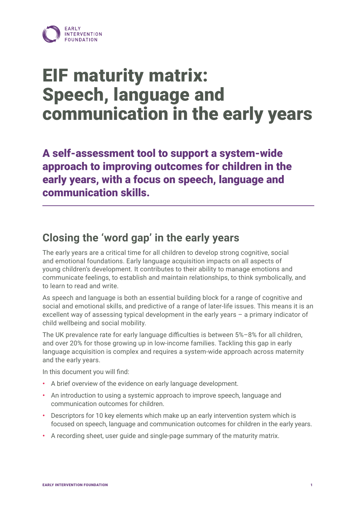

# EIF maturity matrix: Speech, language and communication in the early years

A self-assessment tool to support a system-wide approach to improving outcomes for children in the early years, with a focus on speech, language and communication skills.

# **Closing the 'word gap' in the early years**

The early years are a critical time for all children to develop strong cognitive, social and emotional foundations. Early language acquisition impacts on all aspects of young children's development. It contributes to their ability to manage emotions and communicate feelings, to establish and maintain relationships, to think symbolically, and to learn to read and write.

As speech and language is both an essential building block for a range of cognitive and social and emotional skills, and predictive of a range of later-life issues. This means it is an excellent way of assessing typical development in the early years – a primary indicator of child wellbeing and social mobility.

The UK prevalence rate for early language difficulties is between 5%–8% for all children, and over 20% for those growing up in low-income families. Tackling this gap in early language acquisition is complex and requires a system-wide approach across maternity and the early years.

In this document you will find:

- **•** A brief overview of the evidence on early language development.
- **•** An introduction to using a systemic approach to improve speech, language and communication outcomes for children.
- **•** Descriptors for 10 key elements which make up an early intervention system which is focused on speech, language and communication outcomes for children in the early years.
- **•** A recording sheet, user guide and single-page summary of the maturity matrix.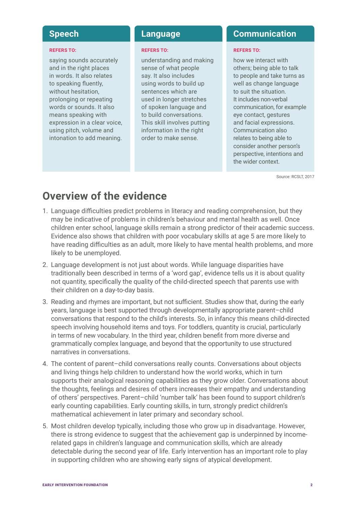#### **REFERS TO:**

saying sounds accurately and in the right places in words. It also relates to speaking fluently, without hesitation, prolonging or repeating words or sounds. It also means speaking with expression in a clear voice, using pitch, volume and intonation to add meaning.

#### **REFERS TO:**

understanding and making sense of what people say. It also includes using words to build up sentences which are used in longer stretches of spoken language and to build conversations. This skill involves putting information in the right order to make sense.

#### **Speech Language Communication**

#### **REFERS TO:**

how we interact with others; being able to talk to people and take turns as well as change language to suit the situation. It includes non-verbal communication, for example eye contact, gestures and facial expressions. Communication also relates to being able to consider another person's perspective, intentions and the wider context.

Source: RCSLT, 2017

# **Overview of the evidence**

- 1. Language difficulties predict problems in literacy and reading comprehension, but they may be indicative of problems in children's behaviour and mental health as well. Once children enter school, language skills remain a strong predictor of their academic success. Evidence also shows that children with poor vocabulary skills at age 5 are more likely to have reading difficulties as an adult, more likely to have mental health problems, and more likely to be unemployed.
- 2. Language development is not just about words. While language disparities have traditionally been described in terms of a 'word gap', evidence tells us it is about quality not quantity, specifically the quality of the child-directed speech that parents use with their children on a day-to-day basis.
- 3. Reading and rhymes are important, but not sufficient. Studies show that, during the early years, language is best supported through developmentally appropriate parent–child conversations that respond to the child's interests. So, in infancy this means child-directed speech involving household items and toys. For toddlers, quantity is crucial, particularly in terms of new vocabulary. In the third year, children benefit from more diverse and grammatically complex language, and beyond that the opportunity to use structured narratives in conversations.
- 4. The content of parent–child conversations really counts. Conversations about objects and living things help children to understand how the world works, which in turn supports their analogical reasoning capabilities as they grow older. Conversations about the thoughts, feelings and desires of others increases their empathy and understanding of others' perspectives. Parent–child 'number talk' has been found to support children's early counting capabilities. Early counting skills, in turn, strongly predict children's mathematical achievement in later primary and secondary school.
- 5. Most children develop typically, including those who grow up in disadvantage. However, there is strong evidence to suggest that the achievement gap is underpinned by incomerelated gaps in children's language and communication skills, which are already detectable during the second year of life. Early intervention has an important role to play in supporting children who are showing early signs of atypical development.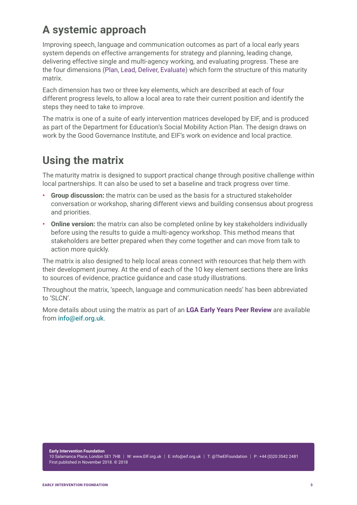# **A systemic approach**

Improving speech, language and communication outcomes as part of a local early years system depends on effective arrangements for strategy and planning, leading change, delivering effective single and multi-agency working, and evaluating progress. These are the four dimensions (Plan, Lead, Deliver, Evaluate) which form the structure of this maturity matrix.

Each dimension has two or three key elements, which are described at each of four different progress levels, to allow a local area to rate their current position and identify the steps they need to take to improve.

The matrix is one of a suite of early intervention matrices developed by EIF, and is produced as part of the Department for Education's Social Mobility Action Plan. The design draws on work by the Good Governance Institute, and EIF's work on evidence and local practice.

# **Using the matrix**

The maturity matrix is designed to support practical change through positive challenge within local partnerships. It can also be used to set a baseline and track progress over time.

- **• Group discussion:** the matrix can be used as the basis for a structured stakeholder conversation or workshop, sharing different views and building consensus about progress and priorities.
- **• Online version:** the matrix can also be completed online by key stakeholders individually before using the results to guide a multi-agency workshop. This method means that stakeholders are better prepared when they come together and can move from talk to action more quickly.

The matrix is also designed to help local areas connect with resources that help them with their development journey. At the end of each of the 10 key element sections there are links to sources of evidence, practice guidance and case study illustrations.

Throughout the matrix, 'speech, language and communication needs' has been abbreviated to 'SLCN'.

More details about using the matrix as part of an **LGA Early Years Peer Review** are available from info@eif.org.uk.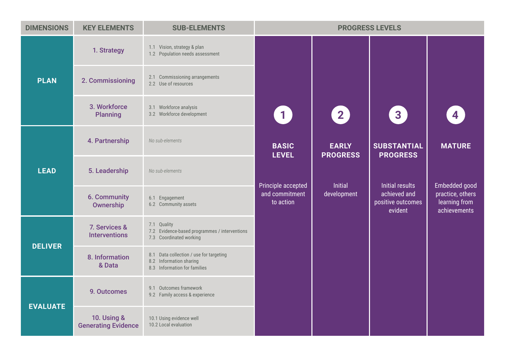| <b>DIMENSIONS</b> | <b>KEY ELEMENTS</b>                                  | <b>SUB-ELEMENTS</b>                                                                                | <b>PROGRESS LEVELS</b>                            |                                 |                                              |                                                                    |
|-------------------|------------------------------------------------------|----------------------------------------------------------------------------------------------------|---------------------------------------------------|---------------------------------|----------------------------------------------|--------------------------------------------------------------------|
|                   | 1. Strategy                                          | 1.1 Vision, strategy & plan<br>1.2 Population needs assessment                                     |                                                   |                                 |                                              |                                                                    |
| <b>PLAN</b>       | 2. Commissioning                                     | 2.1 Commissioning arrangements<br>2.2 Use of resources                                             |                                                   |                                 |                                              |                                                                    |
|                   | 3. Workforce<br><b>Planning</b>                      | 3.1 Workforce analysis<br>3.2 Workforce development                                                | $\left( 1\right)$                                 | $\left( 2\right)$               | 3 <sup>1</sup>                               | $\overline{\mathbf{4}}$                                            |
|                   | 4. Partnership                                       | No sub-elements                                                                                    | <b>BASIC</b><br><b>LEVEL</b>                      | <b>EARLY</b><br><b>PROGRESS</b> | <b>SUBSTANTIAL</b><br><b>PROGRESS</b>        | <b>MATURE</b>                                                      |
| <b>LEAD</b>       | 5. Leadership                                        | No sub-elements                                                                                    |                                                   | Initial                         | <b>Initial results</b>                       |                                                                    |
|                   | <b>6. Community</b><br>Ownership                     | 6.1 Engagement<br>6.2 Community assets                                                             | Principle accepted<br>and commitment<br>to action | development                     | achieved and<br>positive outcomes<br>evident | Embedded good<br>practice, others<br>learning from<br>achievements |
| <b>DELIVER</b>    | 7. Services &<br><b>Interventions</b>                | 7.1 Quality<br>7.2 Evidence-based programmes / interventions<br>7.3 Coordinated working            |                                                   |                                 |                                              |                                                                    |
|                   | 8. Information<br>& Data                             | 8.1 Data collection / use for targeting<br>8.2 Information sharing<br>8.3 Information for families |                                                   |                                 |                                              |                                                                    |
| <b>EVALUATE</b>   | 9. Outcomes                                          | 9.1 Outcomes framework<br>9.2 Family access & experience                                           |                                                   |                                 |                                              |                                                                    |
|                   | <b>10. Using &amp;</b><br><b>Generating Evidence</b> | 10.1 Using evidence well<br>10.2 Local evaluation                                                  |                                                   |                                 |                                              |                                                                    |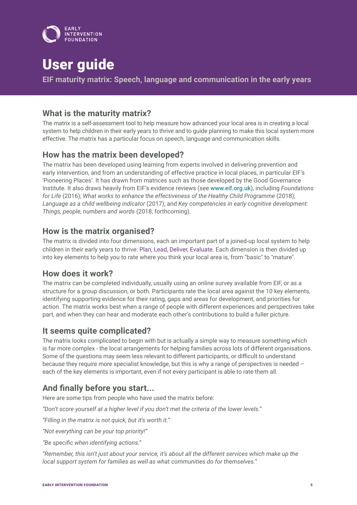

# User guide

**EIF maturity matrix: Speech, language and communication in the early years**

## **What is the maturity matrix?**

The matrix is a self-assessment tool to help measure how advanced your local area is in creating a local system to help children in their early years to thrive and to guide planning to make this local system more effective. The matrix has a particular focus on speech, language and communication skills.

## **How has the matrix been developed?**

The matrix has been developed using learning from experts involved in delivering prevention and early intervention, and from an understanding of effective practice in local places, in particular EIF's 'Pioneering Places'. It has drawn from matrices such as those developed by the Good Governance Institute. It also draws heavily from EIF's evidence reviews (see [www.eif.org.uk](http://www.eif.org.uk)), including *Foundations for Life* (2016); *What works to enhance the effectiveness of the Healthy Child Programme* (2018); *Language as a child wellbeing indicator* (2017); and *Key competencies in early cognitive development: Things, people, numbers and words* (2018, forthcoming).

## **How is the matrix organised?**

The matrix is divided into four dimensions, each an important part of a joined-up local system to help children in their early years to thrive: Plan, Lead, Deliver, Evaluate. Each dimension is then divided up into key elements to help you to rate where you think your local area is, from "basic" to "mature".

### **How does it work?**

The matrix can be completed individually, usually using an online survey available from EIF, or as a structure for a group discussion, or both. Participants rate the local area against the 10 key elements, identifying supporting evidence for their rating, gaps and areas for development, and priorities for action. The matrix works best when a range of people with different experiences and perspectives take part, and when they can hear and moderate each other's contributions to build a fuller picture.

### **It seems quite complicated?**

The matrix looks complicated to begin with but is actually a simple way to measure something which is far more complex - the local arrangements for helping families across lots of different organisations. Some of the questions may seem less relevant to different participants, or difficult to understand because they require more specialist knowledge, but this is why a range of perspectives is needed – each of the key elements is important, even if not every participant is able to rate them all.

## **And finally before you start...**

Here are some tips from people who have used the matrix before:

*"Don't score yourself at a higher level if you don't met the criteria of the lower levels."*

*"Filling in the matrix is not quick, but it's worth it."*

*"Not everything can be your top priority!"*

*"Be specific when identifying actions."*

*"Remember, this isn't just about your service, it's about all the different services which make up the local support system for families as well as what communities do for themselves."*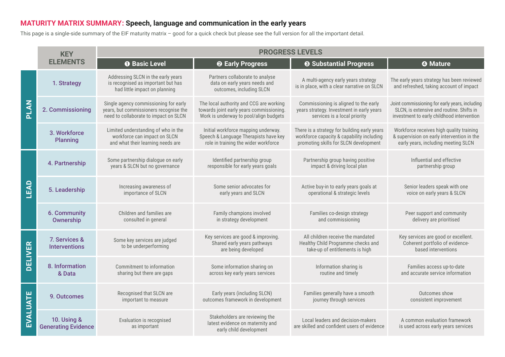## **MATURITY MATRIX SUMMARY: Speech, language and communication in the early years**

This page is a single-side summary of the EIF maturity matrix – good for a quick check but please see the full version for all the important detail.

|                | <b>KEY</b>                                           | <b>PROGRESS LEVELS</b>                                                                                                   |                                                                                                                               |                                                                                                                                    |                                                                                                                                           |  |
|----------------|------------------------------------------------------|--------------------------------------------------------------------------------------------------------------------------|-------------------------------------------------------------------------------------------------------------------------------|------------------------------------------------------------------------------------------------------------------------------------|-------------------------------------------------------------------------------------------------------------------------------------------|--|
|                | <b>ELEMENTS</b>                                      | <b>O</b> Basic Level                                                                                                     | <sup>2</sup> Early Progress                                                                                                   | <b>8 Substantial Progress</b>                                                                                                      | <b>4</b> Mature                                                                                                                           |  |
|                | 1. Strategy                                          | Addressing SLCN in the early years<br>is recognised as important but has<br>had little impact on planning                | Partners collaborate to analyse<br>data on early years needs and<br>outcomes, including SLCN                                  | A multi-agency early years strategy<br>is in place, with a clear narrative on SLCN                                                 | The early years strategy has been reviewed<br>and refreshed, taking account of impact                                                     |  |
| PLAN           | 2. Commissioning                                     | Single agency commissioning for early<br>years, but commissioners recognise the<br>need to collaborate to impact on SLCN | The local authority and CCG are working<br>towards joint early years commissioning.<br>Work is underway to pool/align budgets | Commissioning is aligned to the early<br>years strategy. Investment in early years<br>services is a local priority                 | Joint commissioning for early years, including<br>SLCN, is extensive and routine. Shifts in<br>investment to early childhood intervention |  |
|                | 3. Workforce<br><b>Planning</b>                      | Limited understanding of who in the<br>workforce can impact on SLCN<br>and what their learning needs are                 | Initial workforce mapping underway.<br>Speech & Language Therapists have key<br>role in training the wider workforce          | There is a strategy for building early years<br>workforce capacity & capability including<br>promoting skills for SLCN development | Workforce receives high quality training<br>& supervision on early intervention in the<br>early years, including meeting SLCN             |  |
|                | 4. Partnership                                       | Some partnership dialogue on early<br>years & SLCN but no governance                                                     | Identified partnership group<br>responsible for early years goals                                                             | Partnership group having positive<br>impact & driving local plan                                                                   | Influential and effective<br>partnership group                                                                                            |  |
| LEAD           | 5. Leadership                                        | Increasing awareness of<br>importance of SLCN                                                                            | Some senior advocates for<br>early years and SLCN                                                                             | Active buy-in to early years goals at<br>operational & strategic levels                                                            | Senior leaders speak with one<br>voice on early years & SLCN                                                                              |  |
|                | 6. Community<br>Ownership                            | Children and families are<br>consulted in general                                                                        | Family champions involved<br>in strategy development                                                                          | Families co-design strategy<br>and commissioning                                                                                   | Peer support and community<br>delivery are prioritised                                                                                    |  |
| <b>DELIVER</b> | 7. Services &<br><b>Interventions</b>                | Some key services are judged<br>to be underperforming                                                                    | Key services are good & improving.<br>Shared early years pathways<br>are being developed                                      | All children receive the mandated<br>Healthy Child Programme checks and<br>take-up of entitlements is high                         | Key services are good or excellent.<br>Coherent portfolio of evidence-<br>based interventions                                             |  |
|                | 8. Information<br>& Data                             | Commitment to information<br>sharing but there are gaps                                                                  | Some information sharing on<br>across key early years services                                                                | Information sharing is<br>routine and timely                                                                                       | Families access up-to-date<br>and accurate service information                                                                            |  |
| EVALUATE       | 9. Outcomes                                          | Recognised that SLCN are<br>important to measure                                                                         | Early years (including SLCN)<br>outcomes framework in development                                                             | Families generally have a smooth<br>journey through services                                                                       | Outcomes show<br>consistent improvement                                                                                                   |  |
|                | <b>10. Using &amp;</b><br><b>Generating Evidence</b> | Evaluation is recognised<br>as important                                                                                 | Stakeholders are reviewing the<br>latest evidence on maternity and<br>early child development                                 | Local leaders and decision-makers<br>are skilled and confident users of evidence                                                   | A common evaluation framework<br>is used across early years services                                                                      |  |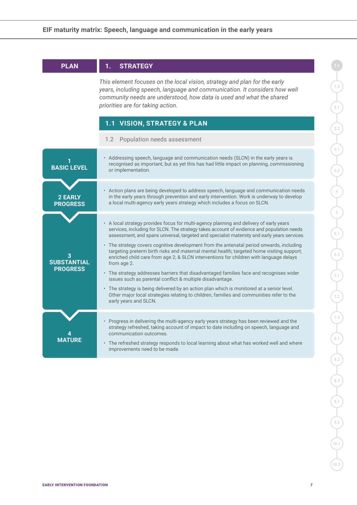| <b>PLAN</b>                           | <b>STRATEGY</b><br>1.                                                                                                                                                                                                                                                                                     |
|---------------------------------------|-----------------------------------------------------------------------------------------------------------------------------------------------------------------------------------------------------------------------------------------------------------------------------------------------------------|
|                                       | This element focuses on the local vision, strategy and plan for the early<br>years, including speech, language and communication. It considers how well<br>community needs are understood, how data is used and what the shared<br>priorities are for taking action.                                      |
|                                       | 1.1 VISION, STRATEGY & PLAN                                                                                                                                                                                                                                                                               |
|                                       | Population needs assessment<br>1.2                                                                                                                                                                                                                                                                        |
| <b>BASIC LEVEL</b>                    | • Addressing speech, language and communication needs (SLCN) in the early years is<br>recognised as important, but as yet this has had little impact on planning, commissioning<br>or implementation.                                                                                                     |
| <b>2 EARLY</b><br><b>PROGRESS</b>     | • Action plans are being developed to address speech, language and communication needs<br>in the early years through prevention and early intervention. Work is underway to develop<br>a local multi-agency early years strategy which includes a focus on SLCN.                                          |
|                                       | • A local strategy provides focus for multi-agency planning and delivery of early years<br>services, including for SLCN. The strategy takes account of evidence and population needs<br>assessment, and spans universal, targeted and specialist maternity and early years services.                      |
| <b>SUBSTANTIAL</b><br><b>PROGRESS</b> | • The strategy covers cognitive development from the antenatal period onwards, including<br>targeting preterm birth risks and maternal mental health; targeted home visiting support;<br>enriched child care from age 2; & SLCN interventions for children with language delays<br>from age 2.            |
|                                       | • The strategy addresses barriers that disadvantaged families face and recognises wider<br>issues such as parental conflict & multiple disadvantage.                                                                                                                                                      |
|                                       | • The strategy is being delivered by an action plan which is monitored at a senior level.<br>Other major local strategies relating to children, families and communities refer to the<br>early years and SLCN.                                                                                            |
| <b>MATURE</b>                         | • Progress in delivering the multi-agency early years strategy has been reviewed and the<br>strategy refreshed, taking account of impact to date including on speech, language and<br>communication outcomes.<br>• The refreshed strategy responds to local learning about what has worked well and where |
|                                       | improvements need to be made.                                                                                                                                                                                                                                                                             |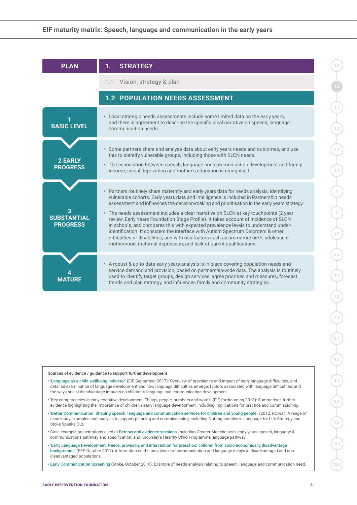| <b>PLAN</b>                           | <b>STRATEGY</b><br>1.                                                                                                                                                                                                                                                                                                                                                                                                                                                                                                                                                                                                                                                                                                                                                                                             |
|---------------------------------------|-------------------------------------------------------------------------------------------------------------------------------------------------------------------------------------------------------------------------------------------------------------------------------------------------------------------------------------------------------------------------------------------------------------------------------------------------------------------------------------------------------------------------------------------------------------------------------------------------------------------------------------------------------------------------------------------------------------------------------------------------------------------------------------------------------------------|
|                                       | Vision, strategy & plan<br>1.1                                                                                                                                                                                                                                                                                                                                                                                                                                                                                                                                                                                                                                                                                                                                                                                    |
|                                       | 1.2 POPULATION NEEDS ASSESSMENT                                                                                                                                                                                                                                                                                                                                                                                                                                                                                                                                                                                                                                                                                                                                                                                   |
| <b>BASIC LEVEL</b>                    | • Local strategic needs assessments include some limited data on the early years,<br>and there is agreement to describe the specific local narrative on speech, language,<br>communication needs.                                                                                                                                                                                                                                                                                                                                                                                                                                                                                                                                                                                                                 |
| <b>2 EARLY</b><br><b>PROGRESS</b>     | • Some partners share and analyse data about early years needs and outcomes, and use<br>this to identify vulnerable groups, including those with SLCN needs.<br>• The association between speech, language and communication development and family<br>income, social deprivation and mother's education is recognised.                                                                                                                                                                                                                                                                                                                                                                                                                                                                                           |
| <b>SUBSTANTIAL</b><br><b>PROGRESS</b> | • Partners routinely share maternity and early years data for needs analysis, identifying<br>vulnerable cohorts. Early years data and intelligence is included in Partnership needs<br>assessment and influences the decision-making and prioritisation in the early years strategy.<br>• The needs assessment includes a clear narrative on SLCN at key touchpoints (2 year<br>review, Early Years Foundation Stage Profile). It takes account of incidence of SLCN<br>in schools, and compares this with expected prevalence levels to understand under-<br>identification. It considers the interface with Autism Spectrum Disorders & other<br>difficulties or disabilities; and with risk factors such as premature birth, adolescent<br>motherhood, maternal depression, and lack of parent qualifications. |
|                                       | • A robust & up-to-date early years analysis is in place covering population needs and<br>service demand and provision, based on partnership-wide data. The analysis is routinely<br>used to identify target groups, design services, agree priorities and measures, forecast<br>trends and plan strategy, and influences family and community strategies.                                                                                                                                                                                                                                                                                                                                                                                                                                                        |

- '[Language as a child wellbeing indicator](https://www.eif.org.uk/report/language-as-a-child-wellbeing-indicator)' (EIF, September 2017): Overview of prevalence and impact of early language difficulties, and detailed examination of language development and how language difficulties emerge; factors associated with language difficulties; and the ways social disadvantage impacts on children's language and communication development.
- 'Key competencies in early cognitive development: Things, people, numbers and words' (EIF, forthcoming 2018): Summarises further evidence highlighting the importance of children's early language development, including implications for practice and commissioning.
- '[Better Communication: Shaping speech, language and communication services for children and young people](https://www.bettercommunication.org.uk/Better%20Communication%20low%20res%20file.pdf)', (2012, RCSLT): A range of case study examples and analysis to support planning and commissioning, including Nottinghamshire's Language for Life Strategy and Stoke Speaks Out.
- Case example presentations used at [Bercow oral evidence sessions](https://www.bercow10yearson.com/evidence/?mdocs-cat=mdocs-cat-2), including Greater Manchester's early years speech, language & communications pathway and specification: and Knowsley's Healthy Child Programme language pathway.
- '[Early Language Development: Needs, provision, and intervention for preschool children from socio economically disadvantage](https://educationendowmentfoundation.org.uk/public/files/Law_et_al_Early_Language_Development_final.pdf)  [backgrounds](https://educationendowmentfoundation.org.uk/public/files/Law_et_al_Early_Language_Development_final.pdf)' (EEF, October 2017): information on the prevalence of communication and language delays in disadvantaged and nondisadvantaged populations.
- [Early Communication Screening](https://docs.wixstatic.com/ugd/303f02_45ff3ae6a9f549dea3ffbc0f5f7f6e01.pdf) (Stoke, October 2016): Example of needs analysis relating to speech, language and communication need.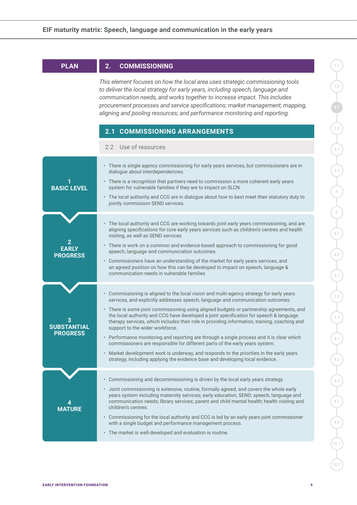| <b>PLAN</b>                                | <b>COMMISSIONING</b><br>2.                                                                                                                                                                                                                                                                                                                                                                                                                                                                                                                                                                                                                                                                                                                                                                                                                                                |  |  |
|--------------------------------------------|---------------------------------------------------------------------------------------------------------------------------------------------------------------------------------------------------------------------------------------------------------------------------------------------------------------------------------------------------------------------------------------------------------------------------------------------------------------------------------------------------------------------------------------------------------------------------------------------------------------------------------------------------------------------------------------------------------------------------------------------------------------------------------------------------------------------------------------------------------------------------|--|--|
|                                            | This element focuses on how the local area uses strategic commissioning tools<br>to deliver the local strategy for early years, including speech, language and<br>communication needs, and works together to increase impact. This includes<br>procurement processes and service specifications; market management; mapping,<br>aligning and pooling resources; and performance monitoring and reporting.<br><b>COMMISSIONING ARRANGEMENTS</b><br>2.1                                                                                                                                                                                                                                                                                                                                                                                                                     |  |  |
|                                            | 2.2 Use of resources                                                                                                                                                                                                                                                                                                                                                                                                                                                                                                                                                                                                                                                                                                                                                                                                                                                      |  |  |
| <b>BASIC LEVEL</b>                         | • There is single agency commissioning for early years services, but commissioners are in<br>dialogue about interdependencies.<br>• There is a recognition that partners need to commission a more coherent early years<br>system for vulnerable families if they are to impact on SLCN.<br>• The local authority and CCG are in dialogue about how to best meet their statutory duty to<br>jointly commission SEND services.                                                                                                                                                                                                                                                                                                                                                                                                                                             |  |  |
| 2<br><b>EARLY</b><br><b>PROGRESS</b>       | • The local authority and CCG are working towards joint early years commissioning, and are<br>aligning specifications for core early years services such as children's centres and health<br>visiting, as well as SEND services.<br>• There is work on a common and evidence-based approach to commissioning for good<br>speech, language and communication outcomes.<br>• Commissioners have an understanding of the market for early years services, and<br>an agreed position on how this can be developed to impact on speech, language &<br>communication needs in vulnerable families                                                                                                                                                                                                                                                                               |  |  |
| 3<br><b>SUBSTANTIAL</b><br><b>PROGRESS</b> | Commissioning is aligned to the local vision and multi-agency strategy for early years<br>$\bullet$<br>services, and explicitly addresses speech, language and communication outcomes.<br>• There is some joint commissioning using aligned budgets or partnership agreements, and<br>the local authority and CCG have developed a joint specification for speech & language<br>therapy services, which includes their role in providing information, training, coaching and<br>support to the wider workforce.<br>• Performance monitoring and reporting are through a single process and it is clear which<br>commissioners are responsible for different parts of the early years system.<br>• Market development work is underway, and responds to the priorities in the early years<br>strategy, including applying the evidence base and developing local evidence. |  |  |
| 4<br><b>MATURE</b>                         | Commissioning and decommissioning is driven by the local early years strategy.<br>$\bullet$<br>• Joint commissioning is extensive, routine, formally agreed, and covers the whole early<br>years system including maternity services; early education; SEND; speech, language and<br>communication needs; library services; parent and child mental health; health visiting and<br>children's centres.<br>• Commissioning for the local authority and CCG is led by an early years joint commissioner<br>with a single budget and performance management process.<br>• The market is well-developed and evaluation is routine.                                                                                                                                                                                                                                            |  |  |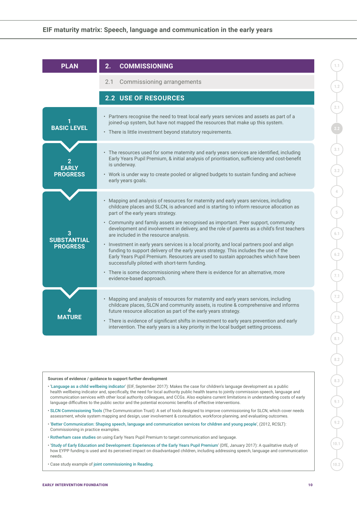| <b>PLAN</b>                           | <b>COMMISSIONING</b><br>2.                                                                                                                                                                                                                                                                                                                                                                                                                                                                                                                                                                                                                                                                                                                                                                                                                                                                            |
|---------------------------------------|-------------------------------------------------------------------------------------------------------------------------------------------------------------------------------------------------------------------------------------------------------------------------------------------------------------------------------------------------------------------------------------------------------------------------------------------------------------------------------------------------------------------------------------------------------------------------------------------------------------------------------------------------------------------------------------------------------------------------------------------------------------------------------------------------------------------------------------------------------------------------------------------------------|
|                                       | 2.1 Commissioning arrangements                                                                                                                                                                                                                                                                                                                                                                                                                                                                                                                                                                                                                                                                                                                                                                                                                                                                        |
|                                       | <b>2.2 USE OF RESOURCES</b>                                                                                                                                                                                                                                                                                                                                                                                                                                                                                                                                                                                                                                                                                                                                                                                                                                                                           |
| <b>BASIC LEVEL</b>                    | • Partners recognise the need to treat local early years services and assets as part of a<br>joined-up system, but have not mapped the resources that make up this system.<br>• There is little investment beyond statutory requirements.                                                                                                                                                                                                                                                                                                                                                                                                                                                                                                                                                                                                                                                             |
| <b>FARLY</b><br><b>PROGRESS</b>       | • The resources used for some maternity and early years services are identified, including<br>Early Years Pupil Premium, & initial analysis of prioritisation, sufficiency and cost-benefit<br>is underway.<br>• Work is under way to create pooled or aligned budgets to sustain funding and achieve<br>early years goals.                                                                                                                                                                                                                                                                                                                                                                                                                                                                                                                                                                           |
| <b>SUBSTANTIAL</b><br><b>PROGRESS</b> | • Mapping and analysis of resources for maternity and early years services, including<br>childcare places and SLCN, is advanced and is starting to inform resource allocation as<br>part of the early years strategy.<br>• Community and family assets are recognised as important. Peer support, community<br>development and involvement in delivery, and the role of parents as a child's first teachers<br>are included in the resource analysis.<br>• Investment in early years services is a local priority, and local partners pool and align<br>funding to support delivery of the early years strategy. This includes the use of the<br>Early Years Pupil Premium. Resources are used to sustain approaches which have been<br>successfully piloted with short-term funding.<br>• There is some decommissioning where there is evidence for an alternative, more<br>evidence-based approach. |
| <b>MATHRF</b>                         | • Mapping and analysis of resources for maternity and early years services, including<br>childcare places, SLCN and community assets, is routine & comprehensive and informs<br>future resource allocation as part of the early years strategy.<br>• There is evidence of significant shifts in investment to early years prevention and early<br>intervention. The early years is a key priority in the local budget setting process.                                                                                                                                                                                                                                                                                                                                                                                                                                                                |

- '[Language as a child wellbeing indicator](https://www.eif.org.uk/report/language-as-a-child-wellbeing-indicator)' (EIF, September 2017): Makes the case for children's language development as a public health wellbeing indicator and, specifically, the need for local authority public health teams to jointly commission speech, language and communication services with other local authority colleagues, and CCGs. Also explains current limitations in understanding costs of early language difficulties to the public sector and the potential economic benefits of effective interventions.
- [SLCN Commissioning Tools](https://www.thecommunicationtrust.org.uk/commissioners/slcn-commissioning-tools/) (The Communication Trust): A set of tools designed to improve commissioning for SLCN, which cover needs assessment, whole system mapping and design, user involvement & consultation, workforce planning, and evaluating outcomes.
- '[Better Communication: Shaping speech, language and communication services for children and young people](https://www.bettercommunication.org.uk/Better%20Communication%20low%20res%20file.pdf)', (2012, RCSLT): Commissioning in practice examples.
- [Rotherham case studies](https://www.foundationyears.org.uk/2016/02/rotherham-la-eypp-funding-case-studies/) on using Early Years Pupil Premium to target communication and language.
- '[Study of Early Education and Development: Experiences of the Early Years Pupil Premium](https://www.gov.uk/government/publications/experiences-of-the-early-years-pupil-premium)' (DfE, January 2017): A qualitative study of how EYPP funding is used and its perceived impact on disadvantaged children, including addressing speech, language and communication needs.
- Case study example of [joint commissioning in Reading](https://www.pearsonclinical.co.uk/Sitedownloads/shine-a-light/2014/pdfs/reading-borough-council-case-study.pdf).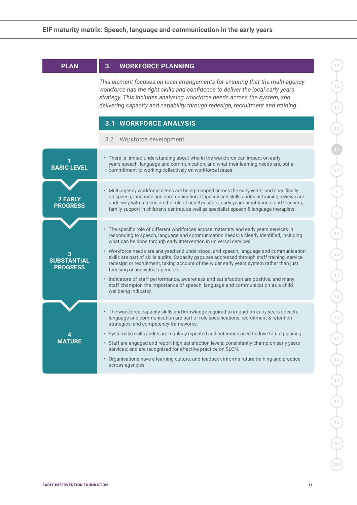| <b>PLAN</b>                           | <b>WORKFORCE PLANNING</b><br>3.                                                                                                                                                                                                                                                                                                                                                                                                                                                                                                                                                     |
|---------------------------------------|-------------------------------------------------------------------------------------------------------------------------------------------------------------------------------------------------------------------------------------------------------------------------------------------------------------------------------------------------------------------------------------------------------------------------------------------------------------------------------------------------------------------------------------------------------------------------------------|
|                                       | This element focuses on local arrangements for ensuring that the multi-agency<br>workforce has the right skills and confidence to deliver the local early years<br>strategy. This includes analysing workforce needs across the system, and<br>delivering capacity and capability through redesign, recruitment and training.                                                                                                                                                                                                                                                       |
|                                       | <b>3.1 WORKFORCE ANALYSIS</b>                                                                                                                                                                                                                                                                                                                                                                                                                                                                                                                                                       |
|                                       | 3.2 Workforce development                                                                                                                                                                                                                                                                                                                                                                                                                                                                                                                                                           |
| <b>BASIC LEVEL</b>                    | • There is limited understanding about who in the workforce can impact on early<br>years speech, language and communication, and what their learning needs are, but a<br>commitment to working collectively on workforce issues.                                                                                                                                                                                                                                                                                                                                                    |
| <b>2 EARLY</b><br><b>PROGRESS</b>     | • Multi-agency workforce needs are being mapped across the early years, and specifically<br>on speech, language and communication. Capacity and skills audits or training reviews are<br>underway with a focus on the role of health visitors, early years practitioners and teachers,<br>family support in children's centres, as well as specialist speech & language therapists.                                                                                                                                                                                                 |
| <b>SUBSTANTIAL</b><br><b>PROGRESS</b> | • The specific role of different workforces across maternity and early years services in<br>responding to speech, language and communication needs is clearly identified, including<br>what can be done through early intervention in universal services.<br>• Workforce needs are analysed and understood, and speech, language and communication<br>skills are part of skills audits. Capacity gaps are addressed through staff training, service<br>redesign or recruitment, taking account of the wider early years system rather than just<br>focusing on individual agencies. |
|                                       | • Indicators of staff performance, awareness and satisfaction are positive, and many<br>staff champion the importance of speech, language and communication as a child<br>wellbeing indicator.                                                                                                                                                                                                                                                                                                                                                                                      |
|                                       | • The workforce capacity skills and knowledge required to impact on early years speech,<br>language and communication are part of role specifications, recruitment & retention<br>strategies, and competency frameworks.                                                                                                                                                                                                                                                                                                                                                            |
| <b>MATURE</b>                         | • Systematic skills audits are regularly repeated and outcomes used to drive future planning.<br>• Staff are engaged and report high satisfaction levels; consistently champion early years<br>services; and are recognised for effective practice on SLCN.                                                                                                                                                                                                                                                                                                                         |
|                                       | • Organisations have a learning culture, and feedback informs future training and practice<br>across agencies.                                                                                                                                                                                                                                                                                                                                                                                                                                                                      |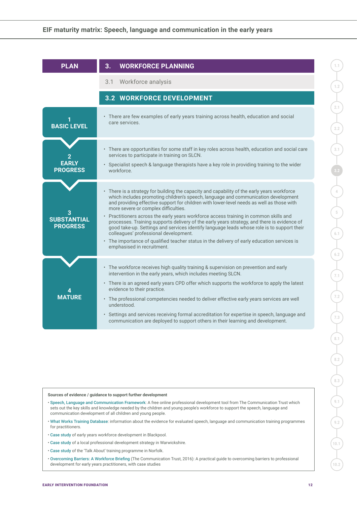| <b>PLAN</b>                           | <b>WORKFORCE PLANNING</b><br>3.                                                                                                                                                                                                                                                                                                                                                                                                                                                                                                                                                                                                                                                                                                                                                    |
|---------------------------------------|------------------------------------------------------------------------------------------------------------------------------------------------------------------------------------------------------------------------------------------------------------------------------------------------------------------------------------------------------------------------------------------------------------------------------------------------------------------------------------------------------------------------------------------------------------------------------------------------------------------------------------------------------------------------------------------------------------------------------------------------------------------------------------|
|                                       | 3.1 Workforce analysis                                                                                                                                                                                                                                                                                                                                                                                                                                                                                                                                                                                                                                                                                                                                                             |
|                                       | <b>3.2 WORKFORCE DEVELOPMENT</b>                                                                                                                                                                                                                                                                                                                                                                                                                                                                                                                                                                                                                                                                                                                                                   |
| <b>BASIC LEVEL</b>                    | • There are few examples of early years training across health, education and social<br>care services.                                                                                                                                                                                                                                                                                                                                                                                                                                                                                                                                                                                                                                                                             |
| <b>EARLY</b><br><b>PROGRESS</b>       | · There are opportunities for some staff in key roles across health, education and social care<br>services to participate in training on SLCN.<br>• Specialist speech & language therapists have a key role in providing training to the wider<br>workforce.                                                                                                                                                                                                                                                                                                                                                                                                                                                                                                                       |
| <b>SUBSTANTIAL</b><br><b>PROGRESS</b> | • There is a strategy for building the capacity and capability of the early years workforce<br>which includes promoting children's speech, language and communication development<br>and providing effective support for children with lower-level needs as well as those with<br>more severe or complex difficulties.<br>• Practitioners across the early years workforce access training in common skills and<br>processes. Training supports delivery of the early years strategy, and there is evidence of<br>good take-up. Settings and services identify language leads whose role is to support their<br>colleagues' professional development.<br>• The importance of qualified teacher status in the delivery of early education services is<br>emphasised in recruitment. |
| <b>MATURF</b>                         | • The workforce receives high quality training & supervision on prevention and early<br>intervention in the early years, which includes meeting SLCN.<br>• There is an agreed early years CPD offer which supports the workforce to apply the latest<br>evidence to their practice.<br>· The professional competencies needed to deliver effective early years services are well<br>understood.<br>• Settings and services receiving formal accreditation for expertise in speech, language and<br>communication are deployed to support others in their learning and development.                                                                                                                                                                                                 |

**10.1**

**10.2**

**1.1**

**1.2**

**2.1**

**2.2**

**3.1**

- [Speech, Language and Communication Framework](https://www.slcframework.org.uk/): A free online professional development tool from The Communication Trust which sets out the key skills and knowledge needed by the children and young people's workforce to support the speech, language and communication development of all children and young people.
- [What Works Training Database](http://www.thecommunicationtrust.org.uk/projects/what-works-training/): information about the evidence for evaluated speech, language and communication training programmes for practitioners.
- [Case study](https://www.foundationyears.org.uk/2013/11/case-study-speech-language-and-communication-in-blackpool/) of early years workforce development in Blackpool.
- [Case study](https://www.pearsonclinical.co.uk/Sitedownloads/shine-a-light/2014/pdfs/time-to-talk-case-study.pdf) of a local professional development strategy in Warwickshire.
- [Case study](https://www.pearsonclinical.co.uk/Sitedownloads/shine-a-light/2015/case-studies/norfolk-talk-about-team.pdf) of the 'Talk About' training programme in Norfolk.
- [Overcoming Barriers: A Workforce Briefing](https://www.thecommunicationtrust.org.uk/media/619506/overcoming_barriers_final.pdf) (The Communication Trust, 2016): A practical guide to overcoming barriers to professional development for early years practitioners, with case studies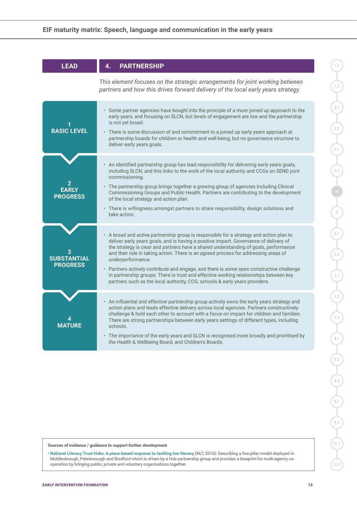| <b>LEAD</b>                           | <b>PARTNERSHIP</b><br>4.                                                                                                                                                                                                                                                                                                                                                                                                                                                                                                                                                                                                                                 |
|---------------------------------------|----------------------------------------------------------------------------------------------------------------------------------------------------------------------------------------------------------------------------------------------------------------------------------------------------------------------------------------------------------------------------------------------------------------------------------------------------------------------------------------------------------------------------------------------------------------------------------------------------------------------------------------------------------|
|                                       | This element focuses on the strategic arrangements for joint working between<br>partners and how this drives forward delivery of the local early years strategy.                                                                                                                                                                                                                                                                                                                                                                                                                                                                                         |
| <b>BASIC LEVEL</b>                    | · Some partner agencies have bought into the principle of a more joined up approach to the<br>early years, and focusing on SLCN, but levels of engagement are low and the partnership<br>is not yet broad.<br>• There is some discussion of and commitment to a joined up early years approach at<br>partnership boards for children or health and well-being, but no governance structure to<br>deliver early years goals.                                                                                                                                                                                                                              |
| <b>EARLY</b><br><b>PROGRESS</b>       | • An identified partnership group has lead responsibility for delivering early years goals,<br>including SLCN, and this links to the work of the local authority and CCGs on SEND joint<br>commissioning.<br>• The partnership group brings together a growing group of agencies including Clinical<br>Commissioning Groups and Public Health. Partners are contributing to the development<br>of the local strategy and action plan.<br>• There is willingness amongst partners to share responsibility, design solutions and<br>take action.                                                                                                           |
| <b>SUBSTANTIAL</b><br><b>PROGRESS</b> | • A broad and active partnership group is responsible for a strategy and action plan to<br>deliver early years goals, and is having a positive impact. Governance of delivery of<br>the strategy is clear and partners have a shared understanding of goals, performance<br>and their role in taking action. There is an agreed process for addressing areas of<br>underperformance.<br>• Partners actively contribute and engage, and there is some open constructive challenge<br>in partnership groups. There is trust and effective working relationships between key<br>partners such as the local authority, CCG, schools & early years providers. |
| <b>MATHRF</b>                         | • An influential and effective partnership group actively owns the early years strategy and<br>action plans and leads effective delivery across local agencies. Partners constructively<br>challenge & hold each other to account with a focus on impact for children and families.<br>There are strong partnerships between early years settings of different types, including<br>schools.<br>• The importance of the early years and SLCN is recognised more broadly and prioritised by<br>the Health & Wellbeing Board, and Children's Boards.                                                                                                        |

• [National Literacy Trust Hubs: A place-based response to tackling low literacy](https://literacytrust.org.uk/communities/) (NLT, 2016): Describing a five-pillar model deployed in Middlesbrough, Peterborough and Bradford which is driven by a Hub partnership group and provides a blueprint for multi-agency cooperation by bringing public, private and voluntary organisations together.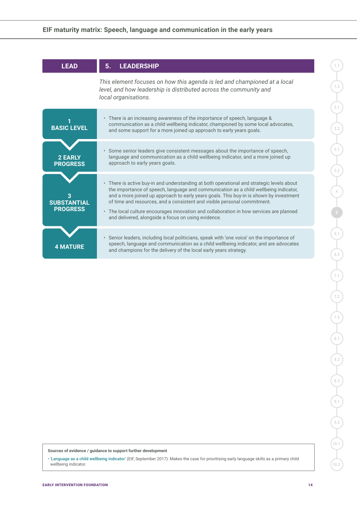| <b>LEAD</b>                           | <b>LEADERSHIP</b><br>5.                                                                                                                                                                                                                                                                                                                                                                                                                                                                                   |
|---------------------------------------|-----------------------------------------------------------------------------------------------------------------------------------------------------------------------------------------------------------------------------------------------------------------------------------------------------------------------------------------------------------------------------------------------------------------------------------------------------------------------------------------------------------|
|                                       | This element focuses on how this agenda is led and championed at a local<br>level, and how leadership is distributed across the community and<br>local organisations.                                                                                                                                                                                                                                                                                                                                     |
| <b>BASIC LEVEL</b>                    | • There is an increasing awareness of the importance of speech, language &<br>communication as a child wellbeing indicator, championed by some local advocates,<br>and some support for a more joined up approach to early years goals.                                                                                                                                                                                                                                                                   |
| <b>2 EARLY</b><br><b>PROGRESS</b>     | • Some senior leaders give consistent messages about the importance of speech,<br>language and communication as a child wellbeing indicator, and a more joined up<br>approach to early years goals.                                                                                                                                                                                                                                                                                                       |
| <b>SUBSTANTIAL</b><br><b>PROGRESS</b> | • There is active buy-in and understanding at both operational and strategic levels about<br>the importance of speech, language and communication as a child wellbeing indicator,<br>and a more joined up approach to early years goals. This buy-in is shown by investment<br>of time and resources, and a consistent and visible personal commitment.<br>• The local culture encourages innovation and collaboration in how services are planned<br>and delivered, alongside a focus on using evidence. |
| <b>4 MATURE</b>                       | • Senior leaders, including local politicians, speak with 'one voice' on the importance of<br>speech, language and communication as a child wellbeing indicator, and are advocates<br>and champions for the delivery of the local early years strategy.                                                                                                                                                                                                                                                   |

**1.2**

**2.1**

**2.2**

**Sources of evidence / guidance to support further development**

• '[Language as a child wellbeing indicator](https://www.eif.org.uk/report/language-as-a-child-wellbeing-indicator)' (EIF, September 2017): Makes the case for prioritising early language skills as a primary child wellbeing indicator.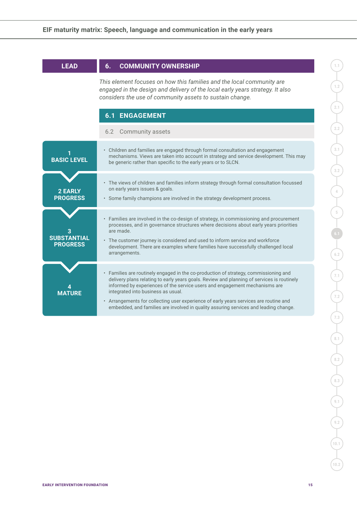| <b>LEAD</b>                           | <b>COMMUNITY OWNERSHIP</b><br>6.                                                                                                                                                                                                                                                                                                                                                                                                                                                        |
|---------------------------------------|-----------------------------------------------------------------------------------------------------------------------------------------------------------------------------------------------------------------------------------------------------------------------------------------------------------------------------------------------------------------------------------------------------------------------------------------------------------------------------------------|
|                                       | This element focuses on how this families and the local community are<br>engaged in the design and delivery of the local early years strategy. It also<br>considers the use of community assets to sustain change.                                                                                                                                                                                                                                                                      |
|                                       | <b>6.1 ENGAGEMENT</b>                                                                                                                                                                                                                                                                                                                                                                                                                                                                   |
|                                       | 6.2 Community assets                                                                                                                                                                                                                                                                                                                                                                                                                                                                    |
| <b>BASIC LEVEL</b>                    | • Children and families are engaged through formal consultation and engagement<br>mechanisms. Views are taken into account in strategy and service development. This may<br>be generic rather than specific to the early years or to SLCN.                                                                                                                                                                                                                                              |
| <b>2 EARLY</b><br><b>PROGRESS</b>     | • The views of children and families inform strategy through formal consultation focussed<br>on early years issues & goals.<br>· Some family champions are involved in the strategy development process.                                                                                                                                                                                                                                                                                |
| <b>SUBSTANTIAL</b><br><b>PROGRESS</b> | • Families are involved in the co-design of strategy, in commissioning and procurement<br>processes, and in governance structures where decisions about early years priorities<br>are made.<br>• The customer journey is considered and used to inform service and workforce<br>development. There are examples where families have successfully challenged local<br>arrangements.                                                                                                      |
| <b>MATURF</b>                         | • Families are routinely engaged in the co-production of strategy, commissioning and<br>delivery plans relating to early years goals. Review and planning of services is routinely<br>informed by experiences of the service users and engagement mechanisms are<br>integrated into business as usual.<br>• Arrangements for collecting user experience of early years services are routine and<br>embedded, and families are involved in quality assuring services and leading change. |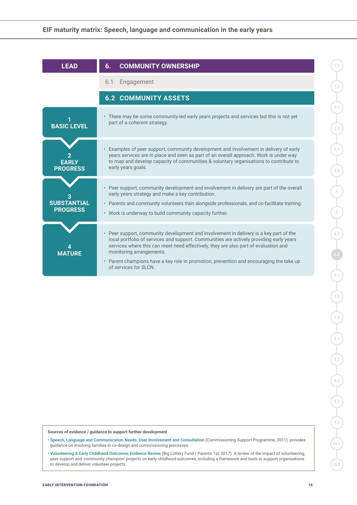| <b>LEAD</b>                           | <b>COMMUNITY OWNERSHIP</b><br>6.                                                                                                                                                                                                                                                                                                                                                                                                    |
|---------------------------------------|-------------------------------------------------------------------------------------------------------------------------------------------------------------------------------------------------------------------------------------------------------------------------------------------------------------------------------------------------------------------------------------------------------------------------------------|
|                                       | Engagement<br>6.1                                                                                                                                                                                                                                                                                                                                                                                                                   |
|                                       | <b>6.2 COMMUNITY ASSETS</b>                                                                                                                                                                                                                                                                                                                                                                                                         |
| <b>BASIC LEVEL</b>                    | • There may be some community-led early years projects and services but this is not yet<br>part of a coherent strategy.                                                                                                                                                                                                                                                                                                             |
| <b>EARLY</b><br><b>PROGRESS</b>       | Examples of peer support, community development and involvement in delivery of early<br>years services are in place and seen as part of an overall approach. Work is under way<br>to map and develop capacity of communities & voluntary organisations to contribute to<br>early years goals.                                                                                                                                       |
| <b>SUBSTANTIAL</b><br><b>PROGRESS</b> | • Peer support, community development and involvement in delivery are part of the overall<br>early years strategy and make a key contribution.<br>• Parents and community volunteers train alongside professionals, and co-facilitate training.<br>• Work is underway to build community capacity further.                                                                                                                          |
| <b>MATURE</b>                         | Peer support, community development and involvement in delivery is a key part of the<br>$\bullet$<br>local portfolio of services and support. Communities are actively providing early years<br>services where this can meet need effectively; they are also part of evaluation and<br>monitoring arrangements.<br>• Parent champions have a key role in promotion, prevention and encouraging the take up<br>of services for SLCN. |

• [Speech, Language and Communication Needs: User Involvement and Consultation](https://www.thecommunicationtrust.org.uk/commissioners/slcn-commissioning-tools/) (Commissioning Support Programme, 2011): provides guidance on involving families in co-design and commissioning processes.

• [Volunteering & Early Childhood Outcomes Evidence Review](https://www.abetterstart.org.uk/content/volunteering-and-early-childhood-outcomes-evidence-review) (Big Lottery Fund / Parents 1st, 2017): A review of the impact of volunteering, peer support and 'community champion' projects on early childhood outcomes, including a framework and tools to support organisations to develop and deliver volunteer projects.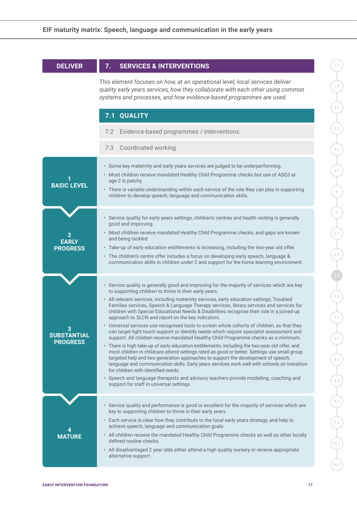| <b>DELIVER</b>                             | <b>SERVICES &amp; INTERVENTIONS</b><br>7.                                                                                                                                                                                                                                                                                                                                                                                                                                                                                                                                                                                                                                                                                                                                                                                                                                                                                                                                                                                                                                                                                                                                                                                                                                                                                                                 |  |  |  |  |
|--------------------------------------------|-----------------------------------------------------------------------------------------------------------------------------------------------------------------------------------------------------------------------------------------------------------------------------------------------------------------------------------------------------------------------------------------------------------------------------------------------------------------------------------------------------------------------------------------------------------------------------------------------------------------------------------------------------------------------------------------------------------------------------------------------------------------------------------------------------------------------------------------------------------------------------------------------------------------------------------------------------------------------------------------------------------------------------------------------------------------------------------------------------------------------------------------------------------------------------------------------------------------------------------------------------------------------------------------------------------------------------------------------------------|--|--|--|--|
|                                            | This element focuses on how, at an operational level, local services deliver<br>quality early years services, how they collaborate with each other using common<br>systems and processes, and how evidence-based programmes are used.                                                                                                                                                                                                                                                                                                                                                                                                                                                                                                                                                                                                                                                                                                                                                                                                                                                                                                                                                                                                                                                                                                                     |  |  |  |  |
|                                            | 7.1 QUALITY                                                                                                                                                                                                                                                                                                                                                                                                                                                                                                                                                                                                                                                                                                                                                                                                                                                                                                                                                                                                                                                                                                                                                                                                                                                                                                                                               |  |  |  |  |
|                                            | Evidence-based programmes / interventions<br>7.2                                                                                                                                                                                                                                                                                                                                                                                                                                                                                                                                                                                                                                                                                                                                                                                                                                                                                                                                                                                                                                                                                                                                                                                                                                                                                                          |  |  |  |  |
|                                            | Coordinated working<br>7.3                                                                                                                                                                                                                                                                                                                                                                                                                                                                                                                                                                                                                                                                                                                                                                                                                                                                                                                                                                                                                                                                                                                                                                                                                                                                                                                                |  |  |  |  |
| <b>BASIC LEVEL</b>                         | · Some key maternity and early years services are judged to be underperforming.<br>· Most children receive mandated Healthy Child Programme checks but use of ASQ3 at<br>age 2 is patchy.<br>• There is variable understanding within each service of the role they can play in supporting<br>children to develop speech, language and communication skills.                                                                                                                                                                                                                                                                                                                                                                                                                                                                                                                                                                                                                                                                                                                                                                                                                                                                                                                                                                                              |  |  |  |  |
| 2<br><b>EARLY</b><br><b>PROGRESS</b>       | · Service quality for early years settings, children's centres and health visiting is generally<br>good and improving.<br>• Most children receive mandated Healthy Child Programme checks, and gaps are known<br>and being tackled.<br>• Take-up of early education entitlements is increasing, including the two-year old offer.<br>• The children's centre offer includes a focus on developing early speech, language &<br>communication skills in children under 2 and support for the home learning environment.                                                                                                                                                                                                                                                                                                                                                                                                                                                                                                                                                                                                                                                                                                                                                                                                                                     |  |  |  |  |
| 3<br><b>SUBSTANTIAL</b><br><b>PROGRESS</b> | • Service quality is generally good and improving for the majority of services which are key<br>to supporting children to thrive in their early years.<br>• All relevant services, including maternity services, early education settings, Troubled<br>Families services, Speech & Language Therapy services, library services and services for<br>children with Special Educational Needs & Disabilities recognise their role in a joined-up<br>approach to SLCN and report on the key indicators.<br>• Universal services use recognised tools to screen whole cohorts of children, so that they<br>can target light touch support or identify needs which require specialist assessment and<br>support. All children receive mandated Healthy Child Programme checks as a minimum.<br>• There is high take-up of early education entitlements, including the two-year old offer, and<br>most children in childcare attend settings rated as good or better. Settings use small group<br>targeted help and two-generation approaches to support the development of speech,<br>language and communication skills. Early years services work well with schools on transition<br>for children with identified needs.<br>· Speech and language therapists and advisory teachers provide modelling, coaching and<br>support for staff in universal settings. |  |  |  |  |
| <b>MATURE</b>                              | • Service quality and performance is good or excellent for the majority of services which are<br>key to supporting children to thrive in their early years.<br>• Each service is clear how they contribute to the local early years strategy, and help to<br>achieve speech, language and communication goals.<br>• All children receive the mandated Healthy Child Programme checks as well as other locally<br>defined routine checks.<br>• All disadvantaged 2 year olds either attend a high quality nursery or receive appropriate<br>alternative support.                                                                                                                                                                                                                                                                                                                                                                                                                                                                                                                                                                                                                                                                                                                                                                                           |  |  |  |  |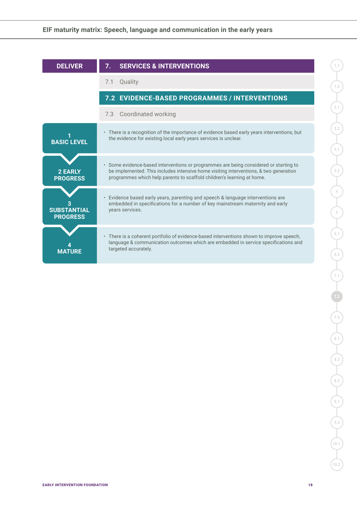| <b>DELIVER</b>                        | <b>SERVICES &amp; INTERVENTIONS</b>                                                                                                                                                                                                                                                                                                                                                                                                                                   |  |
|---------------------------------------|-----------------------------------------------------------------------------------------------------------------------------------------------------------------------------------------------------------------------------------------------------------------------------------------------------------------------------------------------------------------------------------------------------------------------------------------------------------------------|--|
|                                       | Quality<br>7.1                                                                                                                                                                                                                                                                                                                                                                                                                                                        |  |
|                                       | 7.2 EVIDENCE-BASED PROGRAMMES / INTERVENTIONS                                                                                                                                                                                                                                                                                                                                                                                                                         |  |
|                                       | Coordinated working<br>7.3                                                                                                                                                                                                                                                                                                                                                                                                                                            |  |
| <b>BASIC LEVEL</b>                    | • There is a recognition of the importance of evidence based early years interventions, but<br>the evidence for existing local early years services is unclear.                                                                                                                                                                                                                                                                                                       |  |
| <b>2 EARLY</b><br><b>PROGRESS</b>     | Some evidence-based interventions or programmes are being considered or starting to<br>$\bullet$<br>be implemented. This includes intensive home visiting interventions, & two generation<br>programmes which help parents to scaffold children's learning at home.<br>Evidence based early years, parenting and speech & language interventions are<br>$\bullet$<br>embedded in specifications for a number of key mainstream maternity and early<br>years services. |  |
| <b>SUBSTANTIAL</b><br><b>PROGRESS</b> |                                                                                                                                                                                                                                                                                                                                                                                                                                                                       |  |
| <b>MATURE</b>                         | • There is a coherent portfolio of evidence-based interventions shown to improve speech,<br>language & communication outcomes which are embedded in service specifications and<br>targeted accurately.                                                                                                                                                                                                                                                                |  |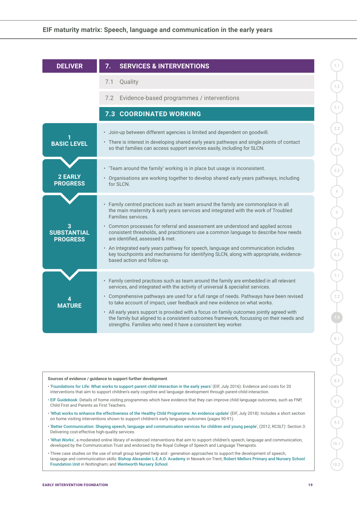| <b>DELIVER</b>                        | 7.<br><b>SERVICES &amp; INTERVENTIONS</b>                                                                                                                                                                                                                                                                                                                                                                                                                                                                                                                                                                                   |  |  |  |  |
|---------------------------------------|-----------------------------------------------------------------------------------------------------------------------------------------------------------------------------------------------------------------------------------------------------------------------------------------------------------------------------------------------------------------------------------------------------------------------------------------------------------------------------------------------------------------------------------------------------------------------------------------------------------------------------|--|--|--|--|
|                                       | 7.1 Quality                                                                                                                                                                                                                                                                                                                                                                                                                                                                                                                                                                                                                 |  |  |  |  |
|                                       | 7.2 Evidence-based programmes / interventions                                                                                                                                                                                                                                                                                                                                                                                                                                                                                                                                                                               |  |  |  |  |
|                                       | <b>7.3 COORDINATED WORKING</b>                                                                                                                                                                                                                                                                                                                                                                                                                                                                                                                                                                                              |  |  |  |  |
| <b>BASIC LEVEL</b>                    | · Join-up between different agencies is limited and dependent on goodwill.<br>• There is interest in developing shared early years pathways and single points of contact<br>so that families can access support services easily, including for SLCN.                                                                                                                                                                                                                                                                                                                                                                        |  |  |  |  |
| <b>2 EARLY</b><br><b>PROGRESS</b>     | • 'Team around the family' working is in place but usage is inconsistent.<br>• Organisations are working together to develop shared early years pathways, including<br>for SLCN.                                                                                                                                                                                                                                                                                                                                                                                                                                            |  |  |  |  |
| <b>SUBSTANTIAL</b><br><b>PROGRESS</b> | • Family centred practices such as team around the family are commonplace in all<br>the main maternity & early years services and integrated with the work of Troubled<br>Families services.<br>• Common processes for referral and assessment are understood and applied across<br>consistent thresholds, and practitioners use a common language to describe how needs<br>are identified, assessed & met.<br>• An integrated early years pathway for speech, language and communication includes<br>key touchpoints and mechanisms for identifying SLCN, along with appropriate, evidence-<br>based action and follow up. |  |  |  |  |
| <b>MATURE</b>                         | • Family centred practices such as team around the family are embedded in all relevant<br>services, and integrated with the activity of universal & specialist services.<br>• Comprehensive pathways are used for a full range of needs. Pathways have been revised<br>to take account of impact, user feedback and new evidence on what works.<br>• All early years support is provided with a focus on family outcomes jointly agreed with<br>the family but aligned to a consistent outcomes framework, focussing on their needs and<br>strengths. Families who need it have a consistent key worker.                    |  |  |  |  |

- '[Foundations for Life: What works to support parent child interaction in the early years](https://www.eif.org.uk/report/foundations-for-life-what-works-to-support-parent-child-interaction-in-the-early-years)' (EIF, July 2016): Evidence and costs for 20 interventions that aim to support children's early cognitive and language development through parent-child interaction.
- [EIF Guidebook](https://guidebook.eif.org.uk/): Details of home visiting programmes which have evidence that they can improve child language outcomes, such as FNP, Child First and Parents as First Teachers.
- '[What works to enhance the effectiveness of the Healthy Child Programme: An evidence update](https://www.eif.org.uk/report/what-works-to-enhance-the-effectiveness-of-the-healthy-child-programme-an-evidence-update)' (EIF, July 2018): Includes a short section on home visiting interventions shown to support children's early language outcomes (pages 90-91).
- '[Better Communication: Shaping speech, language and communication services for children and young people](https://www.bettercommunication.org.uk/Better%20Communication%20low%20res%20file.pdf)', (2012, RCSLT): Section 3: Delivering cost-effective high-quality services.
- '[What Works](https://www.thecommunicationtrust.org.uk/projects/what-works.aspx)', a moderated online library of evidenced interventions that aim to support children's speech, language and communication, developed by the Communication Trust and endorsed by the Royal College of Speech and Language Therapists.
- Three case studies on the use of small group targeted help and generation approaches to support the development of speech, language and communication skills: [Bishop Alexander L.E.A.D. Academy](https://www.pearsonclinical.co.uk/Sitedownloads/shine-a-light/2017/case-studies/bishops-alexander-lead-academy-case-study.pdf) in Newark-on-Trent; [Robert Mellors Primary and Nursery School](https://eifoundation.sharepoint.com/iande/68. Support for SMAP/4. LGA Peer Review Project/SMAP MM/•	https:/www.pearsonclinical.co.uk/Sitedownloads/shine-a-light/2015/case-studies/robert-mellors.pdf)  [Foundation Unit](https://eifoundation.sharepoint.com/iande/68. Support for SMAP/4. LGA Peer Review Project/SMAP MM/•	https:/www.pearsonclinical.co.uk/Sitedownloads/shine-a-light/2015/case-studies/robert-mellors.pdf) in Nottingham; and [Wentworth Nursery School](https://www.pearsonclinical.co.uk/Sitedownloads/shine-a-light/2014/pdfs/wentworth-nursery-case-study.pdf).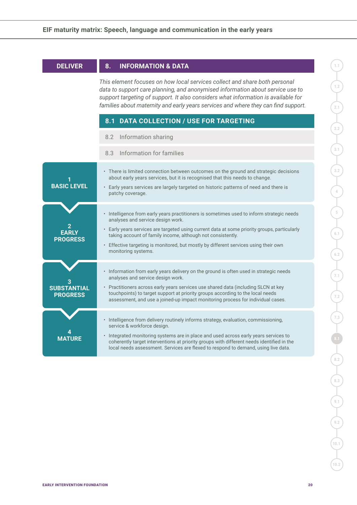| <b>DELIVER</b>                                                                                                                                                                                                                                                                                                                          | 8.<br><b>INFORMATION &amp; DATA</b>                                                                                                                                                                                                                                                                                                                                                                        |  |  |
|-----------------------------------------------------------------------------------------------------------------------------------------------------------------------------------------------------------------------------------------------------------------------------------------------------------------------------------------|------------------------------------------------------------------------------------------------------------------------------------------------------------------------------------------------------------------------------------------------------------------------------------------------------------------------------------------------------------------------------------------------------------|--|--|
| This element focuses on how local services collect and share both personal<br>data to support care planning, and anonymised information about service use to<br>support targeting of support. It also considers what information is available for<br>families about maternity and early years services and where they can find support. |                                                                                                                                                                                                                                                                                                                                                                                                            |  |  |
|                                                                                                                                                                                                                                                                                                                                         | <b>DATA COLLECTION / USE FOR TARGETING</b><br>8.1                                                                                                                                                                                                                                                                                                                                                          |  |  |
|                                                                                                                                                                                                                                                                                                                                         | 8.2 Information sharing                                                                                                                                                                                                                                                                                                                                                                                    |  |  |
|                                                                                                                                                                                                                                                                                                                                         | 8.3 Information for families                                                                                                                                                                                                                                                                                                                                                                               |  |  |
| <b>BASIC LEVEL</b>                                                                                                                                                                                                                                                                                                                      | • There is limited connection between outcomes on the ground and strategic decisions<br>about early years services, but it is recognised that this needs to change.<br>• Early years services are largely targeted on historic patterns of need and there is<br>patchy coverage.                                                                                                                           |  |  |
| <b>EARLY</b><br><b>PROGRESS</b>                                                                                                                                                                                                                                                                                                         | · Intelligence from early years practitioners is sometimes used to inform strategic needs<br>analyses and service design work.<br>• Early years services are targeted using current data at some priority groups, particularly<br>taking account of family income, although not consistently.<br>Effective targeting is monitored, but mostly by different services using their own<br>monitoring systems. |  |  |
| <b>SUBSTANTIAL</b><br><b>PROGRESS</b>                                                                                                                                                                                                                                                                                                   | · Information from early years delivery on the ground is often used in strategic needs<br>analyses and service design work.<br>• Practitioners across early years services use shared data (including SLCN at key<br>touchpoints) to target support at priority groups according to the local needs<br>assessment, and use a joined-up impact monitoring process for individual cases.                     |  |  |
| <b>MATURE</b>                                                                                                                                                                                                                                                                                                                           | • Intelligence from delivery routinely informs strategy, evaluation, commissioning,<br>service & workforce design.<br>· Integrated monitoring systems are in place and used across early years services to<br>coherently target interventions at priority groups with different needs identified in the<br>local needs assessment. Services are flexed to respond to demand, using live data.              |  |  |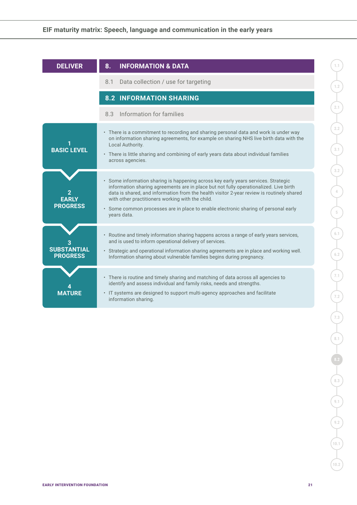| <b>DELIVER</b>                        | <b>INFORMATION &amp; DATA</b><br>8.                                                                                                                                                                                                                                                                                                                                                                                                |
|---------------------------------------|------------------------------------------------------------------------------------------------------------------------------------------------------------------------------------------------------------------------------------------------------------------------------------------------------------------------------------------------------------------------------------------------------------------------------------|
|                                       | Data collection / use for targeting<br>8.1                                                                                                                                                                                                                                                                                                                                                                                         |
|                                       | <b>8.2 INFORMATION SHARING</b>                                                                                                                                                                                                                                                                                                                                                                                                     |
|                                       | Information for families<br>8.3                                                                                                                                                                                                                                                                                                                                                                                                    |
| <b>BASIC LEVEL</b>                    | • There is a commitment to recording and sharing personal data and work is under way<br>on information sharing agreements, for example on sharing NHS live birth data with the<br>Local Authority.<br>• There is little sharing and combining of early years data about individual families<br>across agencies.                                                                                                                    |
| EARLY<br><b>PROGRESS</b>              | · Some information sharing is happening across key early years services. Strategic<br>information sharing agreements are in place but not fully operationalized. Live birth<br>data is shared, and information from the health visitor 2-year review is routinely shared<br>with other practitioners working with the child.<br>• Some common processes are in place to enable electronic sharing of personal early<br>vears data. |
| <b>SUBSTANTIAL</b><br><b>PROGRESS</b> | Routine and timely information sharing happens across a range of early years services,<br>$\bullet$<br>and is used to inform operational delivery of services.<br>• Strategic and operational information sharing agreements are in place and working well.<br>Information sharing about vulnerable families begins during pregnancy.                                                                                              |
| <b>MATURE</b>                         | • There is routine and timely sharing and matching of data across all agencies to<br>identify and assess individual and family risks, needs and strengths.<br>• IT systems are designed to support multi-agency approaches and facilitate<br>information sharing.                                                                                                                                                                  |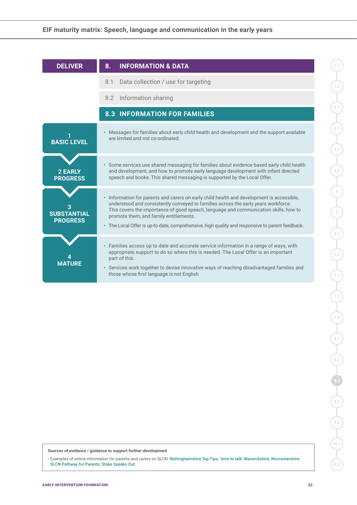| <b>DELIVER</b>                        | <b>INFORMATION &amp; DATA</b><br>8.                                                                                                                                                                                                                                                                                                                                                                                  |  |  |  |
|---------------------------------------|----------------------------------------------------------------------------------------------------------------------------------------------------------------------------------------------------------------------------------------------------------------------------------------------------------------------------------------------------------------------------------------------------------------------|--|--|--|
|                                       | Data collection / use for targeting<br>8.1                                                                                                                                                                                                                                                                                                                                                                           |  |  |  |
|                                       | Information sharing<br>8.2                                                                                                                                                                                                                                                                                                                                                                                           |  |  |  |
|                                       | <b>8.3 INFORMATION FOR FAMILIES</b>                                                                                                                                                                                                                                                                                                                                                                                  |  |  |  |
| <b>BASIC LEVEL</b>                    | • Messages for families about early child health and development and the support available<br>are limited and not co-ordinated.                                                                                                                                                                                                                                                                                      |  |  |  |
| <b>2 EARLY</b><br><b>PROGRESS</b>     | • Some services use shared messaging for families about evidence based early child health<br>and development, and how to promote early language development with infant directed<br>speech and books. This shared messaging is supported by the Local Offer.                                                                                                                                                         |  |  |  |
| <b>SUBSTANTIAL</b><br><b>PROGRESS</b> | • Information for parents and carers on early child health and development is accessible,<br>understood and consistently conveyed to families across the early years workforce.<br>This covers the importance of good speech, language and communication skills, how to<br>promote them, and family entitlements.<br>• The Local Offer is up-to-date, comprehensive, high quality and responsive to parent feedback. |  |  |  |
|                                       | • Families access up to date and accurate service information in a range of ways, with<br>appropriate support to do so where this is needed. The Local Offer is an important<br>part of this.<br>• Services work together to devise innovative ways of reaching disadvantaged families and<br>those whose first language is not English                                                                              |  |  |  |

**1.2**

**2.1**

**2.2**

**Sources of evidence / guidance to support further development**

• Examples of online information for parents and carers on SLCN: [Nottinghamshire Top Tips](https://www.nottinghamshirehealthcare.nhs.uk/lfl-top-tips); '[time to talk' Warwickshire](https://timetotalkwarwickshire.wordpress.com/families/); [Worcestershire](https://eifoundation.sharepoint.com/iande/68. Support for SMAP/4. LGA Peer Review Project/SMAP MM/•	https:/www.hacw.nhs.uk/our-services/speech-language-therapy/childrens/introduction-to-the-slcn-pathway/parents/)  [SLCN Pathway for Parents](https://eifoundation.sharepoint.com/iande/68. Support for SMAP/4. LGA Peer Review Project/SMAP MM/•	https:/www.hacw.nhs.uk/our-services/speech-language-therapy/childrens/introduction-to-the-slcn-pathway/parents/); [Stoke Speaks Out](https://www.stokespeaks.org/parents-and-carers).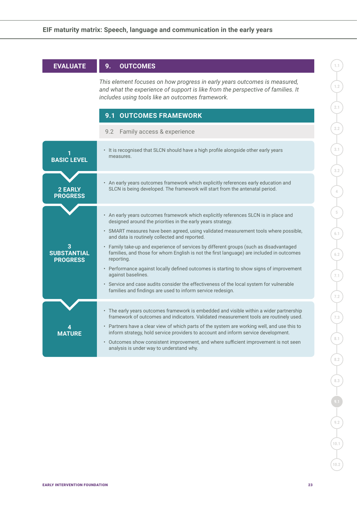#### **EVALUATE 9. OUTCOMES**

*This element focuses on how progress in early years outcomes is measured, and what the experience of support is like from the perspective of families. It includes using tools like an outcomes framework.*

|                                            | <b>9.1 OUTCOMES FRAMEWORK</b>                                                                                                                                                                                                                                                                                                                                                                                                                                                                                                                                                                                                                                                                                                                                                         |  |  |  |  |
|--------------------------------------------|---------------------------------------------------------------------------------------------------------------------------------------------------------------------------------------------------------------------------------------------------------------------------------------------------------------------------------------------------------------------------------------------------------------------------------------------------------------------------------------------------------------------------------------------------------------------------------------------------------------------------------------------------------------------------------------------------------------------------------------------------------------------------------------|--|--|--|--|
|                                            | Family access & experience<br>9.2                                                                                                                                                                                                                                                                                                                                                                                                                                                                                                                                                                                                                                                                                                                                                     |  |  |  |  |
| <b>BASIC LEVEL</b>                         | • It is recognised that SLCN should have a high profile alongside other early years<br>measures.                                                                                                                                                                                                                                                                                                                                                                                                                                                                                                                                                                                                                                                                                      |  |  |  |  |
| <b>2 EARLY</b><br><b>PROGRESS</b>          | • An early years outcomes framework which explicitly references early education and<br>SLCN is being developed. The framework will start from the antenatal period.                                                                                                                                                                                                                                                                                                                                                                                                                                                                                                                                                                                                                   |  |  |  |  |
| з<br><b>SUBSTANTIAL</b><br><b>PROGRESS</b> | • An early years outcomes framework which explicitly references SLCN is in place and<br>designed around the priorities in the early years strategy.<br>· SMART measures have been agreed, using validated measurement tools where possible,<br>and data is routinely collected and reported.<br>Family take-up and experience of services by different groups (such as disadvantaged<br>$\bullet$<br>families, and those for whom English is not the first language) are included in outcomes<br>reporting.<br>• Performance against locally defined outcomes is starting to show signs of improvement<br>against baselines.<br>• Service and case audits consider the effectiveness of the local system for vulnerable<br>families and findings are used to inform service redesign. |  |  |  |  |
| <b>MATURE</b>                              | • The early years outcomes framework is embedded and visible within a wider partnership<br>framework of outcomes and indicators. Validated measurement tools are routinely used.<br>• Partners have a clear view of which parts of the system are working well, and use this to<br>inform strategy, hold service providers to account and inform service development.<br>• Outcomes show consistent improvement, and where sufficient improvement is not seen<br>analysis is under way to understand why.                                                                                                                                                                                                                                                                             |  |  |  |  |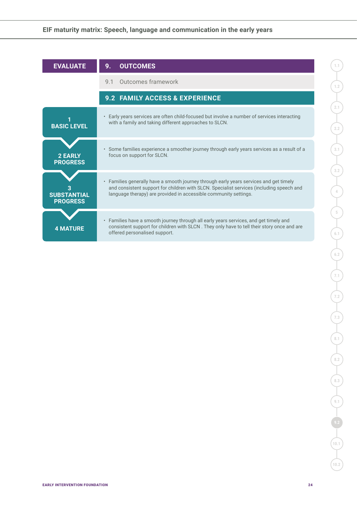| <b>EVALUATE</b>                       | <b>OUTCOMES</b><br>9.                                                                                                                                                                                                                                  |  |  |  |  |
|---------------------------------------|--------------------------------------------------------------------------------------------------------------------------------------------------------------------------------------------------------------------------------------------------------|--|--|--|--|
|                                       | Outcomes framework<br>9 1                                                                                                                                                                                                                              |  |  |  |  |
|                                       | 9.2 FAMILY ACCESS & EXPERIENCE                                                                                                                                                                                                                         |  |  |  |  |
| <b>BASIC LEVEL</b>                    | • Early years services are often child-focused but involve a number of services interacting<br>with a family and taking different approaches to SLCN.                                                                                                  |  |  |  |  |
| <b>2 EARLY</b><br><b>PROGRESS</b>     | • Some families experience a smoother journey through early years services as a result of a<br>focus on support for SLCN.                                                                                                                              |  |  |  |  |
| <b>SUBSTANTIAL</b><br><b>PROGRESS</b> | • Families generally have a smooth journey through early years services and get timely<br>and consistent support for children with SLCN. Specialist services (including speech and<br>language therapy) are provided in accessible community settings. |  |  |  |  |
| <b>4 MATURE</b>                       | • Families have a smooth journey through all early years services, and get timely and<br>consistent support for children with SLCN. They only have to tell their story once and are<br>offered personalised support.                                   |  |  |  |  |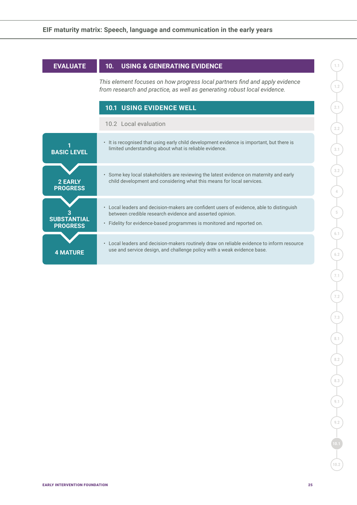| <b>EVALUATE</b>                       | 10. USING & GENERATING EVIDENCE                                                                                                                                                                                                |  |  |  |  |
|---------------------------------------|--------------------------------------------------------------------------------------------------------------------------------------------------------------------------------------------------------------------------------|--|--|--|--|
|                                       | This element focuses on how progress local partners find and apply evidence<br>from research and practice, as well as generating robust local evidence.                                                                        |  |  |  |  |
|                                       | <b>10.1 USING EVIDENCE WELL</b>                                                                                                                                                                                                |  |  |  |  |
|                                       | 10.2 Local evaluation                                                                                                                                                                                                          |  |  |  |  |
| <b>BASIC LEVEL</b>                    | • It is recognised that using early child development evidence is important, but there is<br>limited understanding about what is reliable evidence.                                                                            |  |  |  |  |
| 2 EARLY<br><b>PROGRESS</b>            | • Some key local stakeholders are reviewing the latest evidence on maternity and early<br>child development and considering what this means for local services.                                                                |  |  |  |  |
| <b>SUBSTANTIAL</b><br><b>PROGRESS</b> | • Local leaders and decision-makers are confident users of evidence, able to distinguish<br>between credible research evidence and asserted opinion.<br>• Fidelity for evidence-based programmes is monitored and reported on. |  |  |  |  |
| <b>4 MATURE</b>                       | • Local leaders and decision-makers routinely draw on reliable evidence to inform resource<br>use and service design, and challenge policy with a weak evidence base.                                                          |  |  |  |  |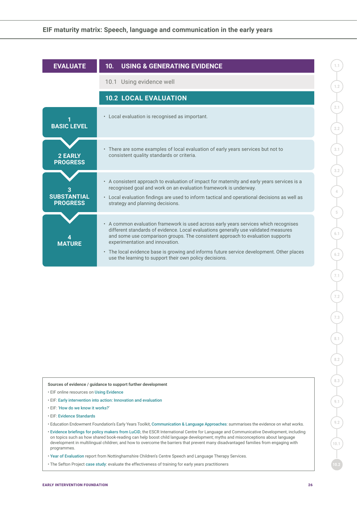| <b>EVALUATE</b>                       | <b>USING &amp; GENERATING EVIDENCE</b><br>10.                                                                                                                                                                                                                                                                                                                                                                                                            |
|---------------------------------------|----------------------------------------------------------------------------------------------------------------------------------------------------------------------------------------------------------------------------------------------------------------------------------------------------------------------------------------------------------------------------------------------------------------------------------------------------------|
|                                       | 10.1 Using evidence well                                                                                                                                                                                                                                                                                                                                                                                                                                 |
|                                       | <b>10.2 LOCAL EVALUATION</b>                                                                                                                                                                                                                                                                                                                                                                                                                             |
| <b>BASIC LEVEL</b>                    | • Local evaluation is recognised as important.                                                                                                                                                                                                                                                                                                                                                                                                           |
| <b>2 EARLY</b><br><b>PROGRESS</b>     | • There are some examples of local evaluation of early years services but not to<br>consistent quality standards or criteria.                                                                                                                                                                                                                                                                                                                            |
| <b>SUBSTANTIAL</b><br><b>PROGRESS</b> | • A consistent approach to evaluation of impact for maternity and early years services is a<br>recognised goal and work on an evaluation framework is underway.<br>• Local evaluation findings are used to inform tactical and operational decisions as well as<br>strategy and planning decisions.                                                                                                                                                      |
| <b>MATURE</b>                         | • A common evaluation framework is used across early years services which recognises<br>different standards of evidence. Local evaluations generally use validated measures<br>and some use comparison groups. The consistent approach to evaluation supports<br>experimentation and innovation.<br>• The local evidence base is growing and informs future service development. Other places<br>use the learning to support their own policy decisions. |

- EIF online resources on [Using Evidence](http://www.eif.org.uk/how-to-make-it-work/using-evidence/)
- EIF: [Early intervention into action: Innovation and evaluation](http://www.eif.org.uk/resource/early-intervention-into-action-innovation-and-evaluation)
- EIF: '[How do we know it works?](http://www.eif.org.uk/why-it-matters/how-do-we-know-it-works/)'
- EIF: [Evidence Standards](https://guidebook.eif.org.uk/eif-evidence-standards)
- Education Endowment Foundation's Early Years Toolkit, [Communication & Language Approaches](https://educationendowmentfoundation.org.uk/evidence-summaries/early-years-toolkit/communication-and-language-approaches/): summarises the evidence on what works.
- [Evidence briefings for policy makers from LuCiD](http://www.lucid.ac.uk/resources/for-policy-makers/evidence-briefings/), the ESCR International Centre for Language and Communicative Development, including on topics such as how shared book-reading can help boost child language development; myths and misconceptions about language development in multilingual children; and how to overcome the barriers that prevent many disadvantaged families from engaging with programmes.
- [Year of Evaluation](https://www.nottinghamshirehealthcare.nhs.uk/download.cfm?doc=docm93jijm4n4808.pdf&ver=7285) report from Nottinghamshire Children's Centre Speech and Language Therapy Services.
- The Sefton Project [case study](http://www.lucid.ac.uk/media/1891/case-study-sefton.pdf): evaluate the effectiveness of training for early years practitioners